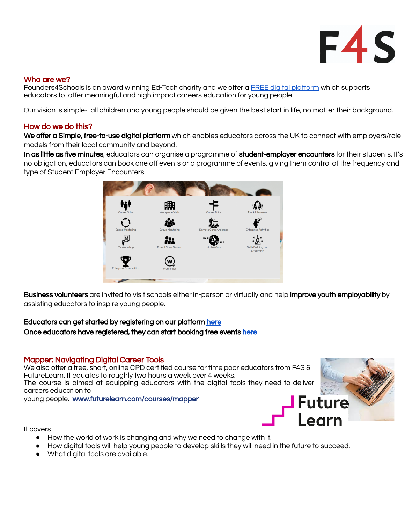

### Who are we?

Founders4Schools is an award winning Ed-Tech charity and we offer a FREE digital [platform](https://www.founders4schools.org.uk/) which supports educators to offer meaningful and high impact careers education for young people.

Our vision is simple- all children and young people should be given the best start in life, no matter their background.

### How do we do this?

We offer a Simple, free-to-use digital platform which enables educators across the UK to connect with employers/role models from their local community and beyond.

In as little as five minutes, educators can organise a programme of student-employer encounters for their students. It's no obligation, educators can book one off events or a programme of events, giving them control of the frequency and type of Student Employer Encounters.



Business volunteers are invited to visit schools either in-person or virtually and help improve youth employability by assisting educators to inspire young people.

### Educators can get started by registering on our platform [here](https://www.founders4schools.org.uk/register/) Once educators have registered, they can start booking free events [here](https://www.founders4schools.org.uk/search/full/)

### Mapper: Navigating Digital Career Tools

We also offer a free, short, online CPD certified course for time poor educators from F4S & FutureLearn. It equates to roughly two hours a week over 4 weeks. The course is aimed at equipping educators with the digital tools they need to deliver careers education to

young people. [www.futurelearn.com/courses/mapper](http://www.futurelearn.com/courses/mapper)



It covers

- How the world of work is changing and why we need to change with it.
- How digital tools will help young people to develop skills they will need in the future to succeed.
- What digital tools are available.